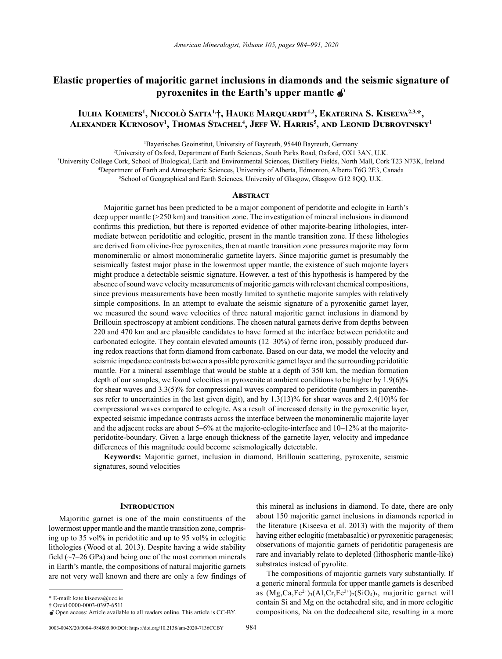# **Elastic properties of majoritic garnet inclusions in diamonds and the seismic signature of pyroxenites in the Earth's upper mantle**

# **Iuliia Koemets<sup>1</sup> , Niccolò Satta1,†, Hauke Marquardt1,2, Ekaterina S. Kiseeva2,3,\*, Alexander Kurnosov<sup>1</sup> , Thomas Stachel<sup>4</sup> , Jeff W. Harris<sup>5</sup> , and Leonid Dubrovinsky<sup>1</sup>**

1 Bayerisches Geoinstitut, University of Bayreuth, 95440 Bayreuth, Germany

2 University of Oxford, Department of Earth Sciences, South Parks Road, Oxford, OX1 3AN, U.K.

3 University College Cork, School of Biological, Earth and Environmental Sciences, Distillery Fields, North Mall, Cork T23 N73K, Ireland

4 Department of Earth and Atmospheric Sciences, University of Alberta, Edmonton, Alberta T6G 2E3, Canada

5 School of Geographical and Earth Sciences, University of Glasgow, Glasgow G12 8QQ, U.K.

## **Abstract**

Majoritic garnet has been predicted to be a major component of peridotite and eclogite in Earth's deep upper mantle (>250 km) and transition zone. The investigation of mineral inclusions in diamond confirms this prediction, but there is reported evidence of other majorite-bearing lithologies, intermediate between peridotitic and eclogitic, present in the mantle transition zone. If these lithologies are derived from olivine-free pyroxenites, then at mantle transition zone pressures majorite may form monomineralic or almost monomineralic garnetite layers. Since majoritic garnet is presumably the seismically fastest major phase in the lowermost upper mantle, the existence of such majorite layers might produce a detectable seismic signature. However, a test of this hypothesis is hampered by the absence of sound wave velocity measurements of majoritic garnets with relevant chemical compositions, since previous measurements have been mostly limited to synthetic majorite samples with relatively simple compositions. In an attempt to evaluate the seismic signature of a pyroxenitic garnet layer, we measured the sound wave velocities of three natural majoritic garnet inclusions in diamond by Brillouin spectroscopy at ambient conditions. The chosen natural garnets derive from depths between 220 and 470 km and are plausible candidates to have formed at the interface between peridotite and carbonated eclogite. They contain elevated amounts (12–30%) of ferric iron, possibly produced during redox reactions that form diamond from carbonate. Based on our data, we model the velocity and seismic impedance contrasts between a possible pyroxenitic garnet layer and the surrounding peridotitic mantle. For a mineral assemblage that would be stable at a depth of 350 km, the median formation depth of our samples, we found velocities in pyroxenite at ambient conditions to be higher by 1.9(6)% for shear waves and 3.3(5)% for compressional waves compared to peridotite (numbers in parentheses refer to uncertainties in the last given digit), and by 1.3(13)% for shear waves and 2.4(10)% for compressional waves compared to eclogite. As a result of increased density in the pyroxenitic layer, expected seismic impedance contrasts across the interface between the monomineralic majorite layer and the adjacent rocks are about 5–6% at the majorite-eclogite-interface and 10–12% at the majoriteperidotite-boundary. Given a large enough thickness of the garnetite layer, velocity and impedance differences of this magnitude could become seismologically detectable.

**Keywords:** Majoritic garnet, inclusion in diamond, Brillouin scattering, pyroxenite, seismic signatures, sound velocities

## **INTRODUCTION**

Majoritic garnet is one of the main constituents of the lowermost upper mantle and the mantle transition zone, comprising up to 35 vol% in peridotitic and up to 95 vol% in eclogitic lithologies (Wood et al. 2013). Despite having a wide stability field  $(\sim 7-26$  GPa) and being one of the most common minerals in Earth's mantle, the compositions of natural majoritic garnets are not very well known and there are only a few findings of

0003-004X/20/0004–984\$05.00/DOI: https://doi.org/10.2138/am-2020-7136CCBY 984

this mineral as inclusions in diamond. To date, there are only about 150 majoritic garnet inclusions in diamonds reported in the literature (Kiseeva et al. 2013) with the majority of them having either eclogitic (metabasaltic) or pyroxenitic paragenesis; observations of majoritic garnets of peridotitic paragenesis are rare and invariably relate to depleted (lithospheric mantle-like) substrates instead of pyrolite.

The compositions of majoritic garnets vary substantially. If a generic mineral formula for upper mantle garnets is described as  $(Mg,Ca,Fe^{2+})_3(A1,Cr,Fe^{3+})_2(SiO_4)_3$ , majoritic garnet will contain Si and Mg on the octahedral site, and in more eclogitic compositions, Na on the dodecaheral site, resulting in a more

<sup>\*</sup> E-mail: [kate.kiseeva@ucc.ie](mailto:kate.kiseeva@ucc.ie)

<sup>†</sup> Orcid 0000-0003-0397-6511

Open access: Article available to all readers online. This article is CC-BY.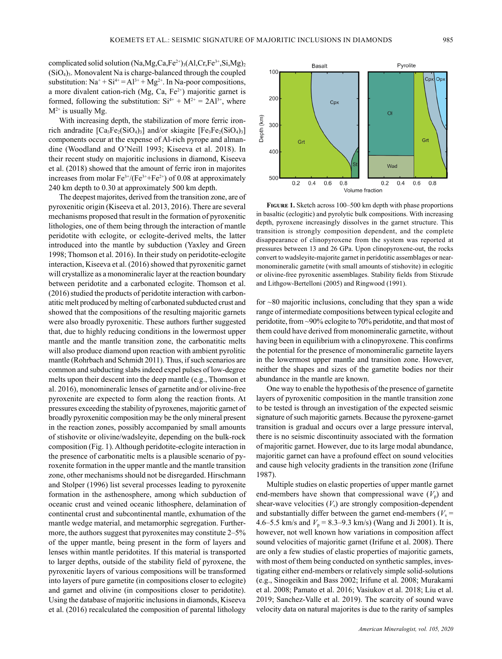complicated solid solution (Na,Mg,Ca,Fe<sup>2+</sup>)<sub>3</sub>(Al,Cr,Fe<sup>3+</sup>,Si,Mg)<sub>2</sub>  $(SiO<sub>4</sub>)<sub>3</sub>$ . Monovalent Na is charge-balanced through the coupled substitution:  $Na^+ + Si^{4+} = Al^{3+} + Mg^{2+}$ . In Na-poor compositions, a more divalent cation-rich (Mg, Ca,  $Fe<sup>2+</sup>$ ) majoritic garnet is formed, following the substitution:  $Si^{4+} + M^{2+} = 2Al^{3+}$ , where  $M^{2+}$  is usually Mg.

With increasing depth, the stabilization of more ferric ironrich andradite  $[Ca_3Fe_2(SiO_4)_3]$  and/or skiagite  $[Fe_3Fe_2(SiO_4)_3]$ components occur at the expense of Al-rich pyrope and almandine (Woodland and O'Neill 1993; Kiseeva et al. 2018). In their recent study on majoritic inclusions in diamond, Kiseeva et al. (2018) showed that the amount of ferric iron in majorites increases from molar  $Fe^{3+}/(Fe^{3+}+Fe^{2+})$  of 0.08 at approximately 240 km depth to 0.30 at approximately 500 km depth.

The deepest majorites, derived from the transition zone, are of pyroxenitic origin (Kiseeva et al. 2013, 2016). There are several mechanisms proposed that result in the formation of pyroxenitic lithologies, one of them being through the interaction of mantle peridotite with eclogite, or eclogite-derived melts, the latter introduced into the mantle by subduction (Yaxley and Green 1998; Thomson et al. 2016). In their study on peridotite-eclogite interaction, Kiseeva et al. (2016) showed that pyroxenitic garnet will crystallize as a monomineralic layer at the reaction boundary between peridotite and a carbonated eclogite. Thomson et al. (2016) studied the products of peridotite interaction with carbonatitic melt produced by melting of carbonated subducted crust and showed that the compositions of the resulting majoritic garnets were also broadly pyroxenitic. These authors further suggested that, due to highly reducing conditions in the lowermost upper mantle and the mantle transition zone, the carbonatitic melts will also produce diamond upon reaction with ambient pyrolitic mantle (Rohrbach and Schmidt 2011). Thus, if such scenarios are common and subducting slabs indeed expel pulses of low-degree melts upon their descent into the deep mantle (e.g., Thomson et al. 2016), monomineralic lenses of garnetite and/or olivine-free pyroxenite are expected to form along the reaction fronts. At pressures exceeding the stability of pyroxenes, majoritic garnet of broadly pyroxenitic composition may be the only mineral present in the reaction zones, possibly accompanied by small amounts of stishovite or olivine/wadsleyite, depending on the bulk-rock composition (Fig. 1). Although peridotite-eclogite interaction in the presence of carbonatitic melts is a plausible scenario of pyroxenite formation in the upper mantle and the mantle transition zone, other mechanisms should not be disregarded. Hirschmann and Stolper (1996) list several processes leading to pyroxenite formation in the asthenosphere, among which subduction of oceanic crust and veined oceanic lithosphere, delamination of continental crust and subcontinental mantle, exhumation of the mantle wedge material, and metamorphic segregation. Furthermore, the authors suggest that pyroxenites may constitute 2–5% of the upper mantle, being present in the form of layers and lenses within mantle peridotites. If this material is transported to larger depths, outside of the stability field of pyroxene, the pyroxenitic layers of various compositions will be transformed into layers of pure garnetite (in compositions closer to eclogite) and garnet and olivine (in compositions closer to peridotite). Using the database of majoritic inclusions in diamonds, Kiseeva et al. (2016) recalculated the composition of parental lithology



**Figure 1.** Sketch across 100–500 km depth with phase proportions in basaltic (eclogitic) and pyrolytic bulk compositions. With increasing depth, pyroxene increasingly dissolves in the garnet structure. This transition is strongly composition dependent, and the complete disappearance of clinopyroxene from the system was reported at pressures between 13 and 26 GPa. Upon clinopyroxene-out, the rocks convert to wadsleyite-majorite garnet in peridotitic assemblages or nearmonomineralic garnetite (with small amounts of stishovite) in eclogitic or olivine-free pyroxenitic assemblages. Stability fields from Stixrude and Lithgow-Bertelloni (2005) and Ringwood (1991).

for ~80 majoritic inclusions, concluding that they span a wide range of intermediate compositions between typical eclogite and peridotite, from ~90% eclogite to 70% peridotite, and that most of them could have derived from monomineralic garnetite, without having been in equilibrium with a clinopyroxene. This confirms the potential for the presence of monomineralic garnetite layers in the lowermost upper mantle and transition zone. However, neither the shapes and sizes of the garnetite bodies nor their abundance in the mantle are known.

One way to enable the hypothesis of the presence of garnetite layers of pyroxenitic composition in the mantle transition zone to be tested is through an investigation of the expected seismic signature of such majoritic garnets. Because the pyroxene-garnet transition is gradual and occurs over a large pressure interval, there is no seismic discontinuity associated with the formation of majoritic garnet. However, due to its large modal abundance, majoritic garnet can have a profound effect on sound velocities and cause high velocity gradients in the transition zone (Irifune 1987).

Multiple studies on elastic properties of upper mantle garnet end-members have shown that compressional wave  $(V_p)$  and shear-wave velocities  $(V_s)$  are strongly composition-dependent and substantially differ between the garnet end-members ( $V<sub>s</sub>$  = 4.6–5.5 km/s and  $V_p = 8.3-9.3$  km/s) (Wang and Ji 2001). It is, however, not well known how variations in composition affect sound velocities of majoritic garnet (Irifune et al. 2008). There are only a few studies of elastic properties of majoritic garnets, with most of them being conducted on synthetic samples, investigating either end-members or relatively simple solid-solutions (e.g., Sinogeikin and Bass 2002; Irifune et al. 2008; Murakami et al. 2008; Pamato et al. 2016; Vasiukov et al. 2018; Liu et al. 2019; Sanchez-Valle et al. 2019). The scarcity of sound wave velocity data on natural majorites is due to the rarity of samples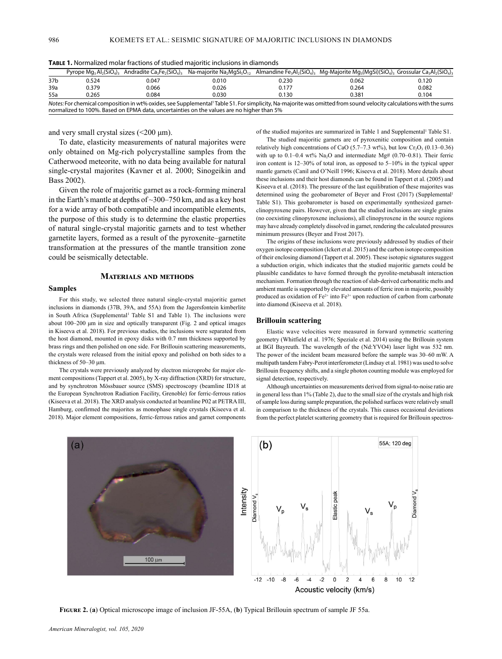|                                                                                                                                                                                                                                                               |       | Pyrope $Mg_3 Al_2(SiO_4)$ , Andradite Ca <sub>3</sub> Fe <sub>2</sub> (SiO <sub>4</sub> ) <sub>3</sub> | Na-maiorite Na <sub>2</sub> MgSi <sub>5</sub> O <sub>12</sub> |       | Almandine Fe <sub>3</sub> Al <sub>2</sub> (SiO <sub>4</sub> ) <sub>3</sub> Mg-Majorite Mg <sub>3</sub> (MgSi)(SiO <sub>4</sub> ) <sub>3</sub> Grossular Ca <sub>3</sub> Al <sub>2</sub> (SiO <sub>4</sub> ) <sub>3</sub> |       |  |
|---------------------------------------------------------------------------------------------------------------------------------------------------------------------------------------------------------------------------------------------------------------|-------|--------------------------------------------------------------------------------------------------------|---------------------------------------------------------------|-------|--------------------------------------------------------------------------------------------------------------------------------------------------------------------------------------------------------------------------|-------|--|
| 37b                                                                                                                                                                                                                                                           | 0.524 | 0.047                                                                                                  | 0.010                                                         | 0.230 | 0.062                                                                                                                                                                                                                    | 0.120 |  |
| 39a                                                                                                                                                                                                                                                           | 0.379 | 0.066                                                                                                  | 0.026                                                         | 0.177 | 0.264                                                                                                                                                                                                                    | 0.082 |  |
| 55a                                                                                                                                                                                                                                                           | 0.265 | 0.084                                                                                                  | 0.030                                                         | 0.130 | 0.381                                                                                                                                                                                                                    | 0.104 |  |
| Notes: For chemical composition in wt% oxides, see Supplemental Table S1. For simplicity, Na-majorite was omitted from sound velocity calculations with the sums<br>normalized to 100%. Based on EPMA data, uncertainties on the values are no higher than 5% |       |                                                                                                        |                                                               |       |                                                                                                                                                                                                                          |       |  |

**Table 1.** Normalized molar fractions of studied majoritic inclusions in diamonds

and very small crystal sizes  $(\leq 200 \text{ }\mu\text{m})$ .

To date, elasticity measurements of natural majorites were only obtained on Mg-rich polycrystalline samples from the Catherwood meteorite, with no data being available for natural single-crystal majorites (Kavner et al. 2000; Sinogeikin and Bass 2002).

Given the role of majoritic garnet as a rock-forming mineral in the Earth's mantle at depths of ~300–750 km, and as a key host for a wide array of both compatible and incompatible elements, the purpose of this study is to determine the elastic properties of natural single-crystal majoritic garnets and to test whether garnetite layers, formed as a result of the pyroxenite–garnetite transformation at the pressures of the mantle transition zone could be seismically detectable.

## **Materials and methods**

# **Samples**

For this study, we selected three natural single-crystal majoritic garnet inclusions in diamonds (37B, 39A, and 55A) from the Jagersfontein kimberlite in South Africa (Supplemental<sup>1</sup> Table S1 and Table 1). The inclusions were about 100–200 μm in size and optically transparent (Fig. 2 and optical images in Kiseeva et al. 2018). For previous studies, the inclusions were separated from the host diamond, mounted in epoxy disks with 0.7 mm thickness supported by brass rings and then polished on one side. For Brillouin scattering measurements, the crystals were released from the initial epoxy and polished on both sides to a thickness of 50–30 μm.

The crystals were previously analyzed by electron microprobe for major element compositions (Tappert et al. 2005), by X-ray diffraction (XRD) for structure, and by synchrotron Mössbauer source (SMS) spectroscopy (beamline ID18 at the European Synchrotron Radiation Facility, Grenoble) for ferric-ferrous ratios (Kiseeva et al. 2018). The XRD analysis conducted at beamline P02 at PETRA III, Hamburg, confirmed the majorites as monophase single crystals (Kiseeva et al. 2018). Major element compositions, ferric-ferrous ratios and garnet components

> a) ntensity V bromeiC 100 µm

of the studied majorites are summarized in Table 1 and Supplemental<sup>1</sup> Table S1.

The studied majoritic garnets are of pyroxenitic composition and contain relatively high concentrations of CaO  $(5.7–7.3 \text{ wt\%})$ , but low Cr<sub>2</sub>O<sub>3</sub>  $(0.13–0.36)$ with up to 0.1–0.4 wt%  $Na<sub>2</sub>O$  and intermediate Mg# (0.70–0.81). Their ferric iron content is 12–30% of total iron, as opposed to 5–10% in the typical upper mantle garnets (Canil and O'Neill 1996; Kiseeva et al. 2018). More details about these inclusions and their host diamonds can be found in Tappert et al. (2005) and Kiseeva et al. (2018). The pressure of the last equilibration of these majorites was determined using the geobarometer of Beyer and Frost (2017) (Supplemental<sup>1</sup> Table S1). This geobarometer is based on experimentally synthesized garnetclinopyroxene pairs. However, given that the studied inclusions are single grains (no coexisting clinopyroxene inclusions), all clinopyroxene in the source regions may have already completely dissolved in garnet, rendering the calculated pressures minimum pressures (Beyer and Frost 2017).

The origins of these inclusions were previously addressed by studies of their oxygen isotope composition (Ickert et al. 2015) and the carbon isotope composition of their enclosing diamond (Tappert et al. 2005). These isotopic signatures suggest a subduction origin, which indicates that the studied majoritic garnets could be plausible candidates to have formed through the pyrolite-metabasalt interaction mechanism. Formation through the reaction of slab-derived carbonatitic melts and ambient mantle is supported by elevated amounts of ferric iron in majorite, possibly produced as oxidation of  $Fe^{2+}$  into  $Fe^{3+}$  upon reduction of carbon from carbonate into diamond (Kiseeva et al. 2018).

# **Brillouin scattering**

Elastic wave velocities were measured in forward symmetric scattering geometry (Whitfield et al. 1976; Speziale et al. 2014) using the Brillouin system at BGI Bayreuth. The wavelength of the (Nd:YVO4) laser light was 532 nm. The power of the incident beam measured before the sample was 30–60 mW. A multipath tandem Fabry-Perot interferometer (Lindsay et al. 1981) was used to solve Brillouin frequency shifts, and a single photon counting module was employed for signal detection, respectively.

Although uncertainties on measurements derived from signal-to-noise ratio are in general less than 1% (Table 2), due to the small size of the crystals and high risk of sample loss during sample preparation, the polished surfaces were relatively small in comparison to the thickness of the crystals. This causes occasional deviations from the perfect platelet scattering geometry that is required for Brillouin spectros-



**Figure 2.** (**a**) Optical microscope image of inclusion JF-55A, (**b**) Typical Brillouin spectrum of sample JF 55a.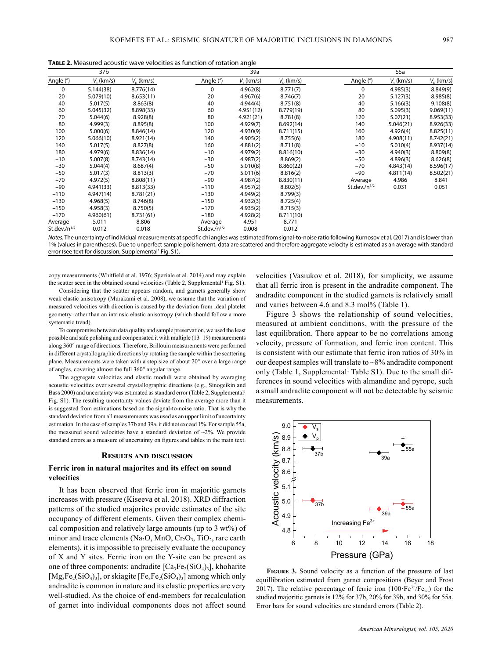**Table 2.** Measured acoustic wave velocities as function of rotation angle

|                    | 37b          |                    |                    | 39a          |                    |                    | 55a          |                    |
|--------------------|--------------|--------------------|--------------------|--------------|--------------------|--------------------|--------------|--------------------|
| Angle (°)          | $V_s$ (km/s) | $V_{\rm n}$ (km/s) | Angle (°)          | $V_s$ (km/s) | $V_{\rm n}$ (km/s) | Angle (°)          | $V_s$ (km/s) | $V_{\rm p}$ (km/s) |
| $\mathbf 0$        | 5.144(38)    | 8.776(14)          | 0                  | 4.962(8)     | 8.771(7)           | 0                  | 4.985(3)     | 8.849(9)           |
| 20                 | 5.079(10)    | 8.653(11)          | 20                 | 4.967(6)     | 8.746(7)           | 20                 | 5.127(3)     | 8.985(8)           |
| 40                 | 5.017(5)     | 8.863(8)           | 40                 | 4.944(4)     | 8.751(8)           | 40                 | 5.166(3)     | 9.108(8)           |
| 60                 | 5.045(32)    | 8.898(33)          | 60                 | 4.951(12)    | 8.779(19)          | 80                 | 5.095(3)     | 9.069(11)          |
| 70                 | 5.044(6)     | 8.928(8)           | 80                 | 4.921(21)    | 8.781(8)           | 120                | 5.07(21)     | 8.953(33)          |
| 80                 | 4.999(3)     | 8.895(8)           | 100                | 4.929(7)     | 8.692(14)          | 140                | 5.046(21)    | 8.926(33)          |
| 100                | 5.000(6)     | 8.846(14)          | 120                | 4.930(9)     | 8.711(15)          | 160                | 4.926(4)     | 8.825(11)          |
| 120                | 5.066(10)    | 8.921(14)          | 140                | 4.905(2)     | 8.755(6)           | 180                | 4.908(11)    | 8.742(21)          |
| 140                | 5.017(5)     | 8.827(8)           | 160                | 4.881(2)     | 8.711(8)           | $-10$              | 5.010(4)     | 8.937(14)          |
| 180                | 4.979(6)     | 8.836(14)          | $-10$              | 4.979(2)     | 8.816(10)          | $-30$              | 4.940(3)     | 8.809(8)           |
| $-10$              | 5.007(8)     | 8.743(14)          | $-30$              | 4.987(2)     | 8.869(2)           | $-50$              | 4.896(3)     | 8.626(8)           |
| $-30$              | 5.044(4)     | 8.687(4)           | $-50$              | 5.010(8)     | 8.860(22)          | $-70$              | 4.843(14)    | 8.596(17)          |
| $-50$              | 5.017(3)     | 8.813(3)           | $-70$              | 5.011(6)     | 8.816(2)           | -90                | 4.811(14)    | 8.502(21)          |
| $-70$              | 4.972(5)     | 8.808(11)          | $-90$              | 4.987(2)     | 8.830(11)          | Average            | 4.986        | 8.841              |
| $-90$              | 4.941(33)    | 8.813(33)          | $-110$             | 4.957(2)     | 8.802(5)           | St.dev./ $n^{1/2}$ | 0.031        | 0.051              |
| $-110$             | 4.947(14)    | 8.781(21)          | $-130$             | 4.949(2)     | 8.799(3)           |                    |              |                    |
| $-130$             | 4.968(5)     | 8.746(8)           | $-150$             | 4.932(3)     | 8.725(4)           |                    |              |                    |
| $-150$             | 4.958(3)     | 8.750(5)           | $-170$             | 4.935(2)     | 8.715(3)           |                    |              |                    |
| $-170$             | 4.960(61)    | 8.731(61)          | $-180$             | 4.928(2)     | 8.711(10)          |                    |              |                    |
| Average            | 5.011        | 8.806              | Average            | 4.951        | 8.771              |                    |              |                    |
| St.dev./ $n^{1/2}$ | 0.012        | 0.018              | St.dev./ $n^{1/2}$ | 0.008        | 0.012              |                    |              |                    |
|                    |              | $\cdots$           |                    |              |                    | $\cdots$ $\cdots$  | . . <i>.</i> |                    |

*Notes:* The uncertainty of individual measurements at specific chi angles was estimated from signal-to-noise ratio following Kurnosov et al. (2017) and is lower than 1% (values in parentheses). Due to unperfect sample polishement, data are scattered and therefore aggregate velocity is estimated as an average with standard error (see text for discussion, Supplemental<sup>1</sup> Fig. S1).

copy measurements (Whitfield et al. 1976; Speziale et al. 2014) and may explain the scatter seen in the obtained sound velocities (Table 2, Supplemental<sup>1</sup> Fig. S1).

Considering that the scatter appears random, and garnets generally show weak elastic anisotropy (Murakami et al. 2008), we assume that the variation of measured velocities with direction is caused by the deviation from ideal platelet geometry rather than an intrinsic elastic anisotropy (which should follow a more systematic trend).

To compromise between data quality and sample preservation, we used the least possible and safe polishing and compensated it with multiple (13–19) measurements along 360° range of directions. Therefore, Brillouin measurements were performed in different crystallographic directions by rotating the sample within the scattering plane. Measurements were taken with a step size of about 20° over a large range of angles, covering almost the full 360° angular range.

The aggregate velocities and elastic moduli were obtained by averaging acoustic velocities over several crystallographic directions (e.g., Sinogeikin and Bass 2000) and uncertainty was estimated as standard error (Table 2, Supplemental<sup>1</sup> Fig. S1). The resulting uncertainty values deviate from the average more than it is suggested from estimations based on the signal-to-noise ratio. That is why the standard deviation from all measurements was used as an upper limit of uncertainty estimation. In the case of samples 37b and 39a, it did not exceed 1%. For sample 55a, the measured sound velocities have a standard deviation of  $\sim$ 2%. We provide standard errors as a measure of uncertainty on figures and tables in the main text.

#### **Results and discussion**

# **Ferric iron in natural majorites and its effect on sound velocities**

It has been observed that ferric iron in majoritic garnets increases with pressure (Kiseeva et al. 2018). XRD diffraction patterns of the studied majorites provide estimates of the site occupancy of different elements. Given their complex chemical composition and relatively large amounts (up to 3 wt%) of minor and trace elements (Na<sub>2</sub>O, MnO, Cr<sub>2</sub>O<sub>3</sub>, TiO<sub>2</sub>, rare earth elements), it is impossible to precisely evaluate the occupancy of X and Y sites. Ferric iron on the Y-site can be present as one of three components: andradite  $[Ca_3Fe_2(SiO_4)_3]$ , khoharite  $[Mg_3Fe_2(SiO_4)_3]$ , or skiagite  $[Fe_3Fe_2(SiO_4)_3]$  among which only andradite is common in nature and its elastic properties are very well-studied. As the choice of end-members for recalculation of garnet into individual components does not affect sound

velocities (Vasiukov et al. 2018), for simplicity, we assume that all ferric iron is present in the andradite component. The andradite component in the studied garnets is relatively small and varies between 4.6 and 8.3 mol% (Table 1).

Figure 3 shows the relationship of sound velocities, measured at ambient conditions, with the pressure of the last equilibration. There appear to be no correlations among velocity, pressure of formation, and ferric iron content. This is consistent with our estimate that ferric iron ratios of 30% in our deepest samples will translate to  $\sim 8\%$  andradite component only (Table 1, Supplemental<sup>1</sup> Table S1). Due to the small differences in sound velocities with almandine and pyrope, such a small andradite component will not be detectable by seismic measurements.



**Figure 3.** Sound velocity as a function of the pressure of last equillibration estimated from garnet compositions (Beyer and Frost 2017). The relative percentage of ferric iron  $(100 \t{Fe}^{3+}/Fe_{tot})$  for the studied majoritic garnets is 12% for 37b, 20% for 39b, and 30% for 55a. Error bars for sound velocities are standard errors (Table 2).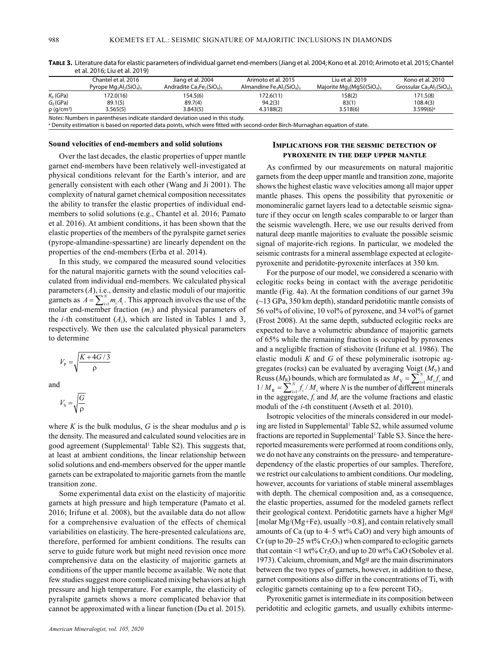|                             | Chantel et al. 2016<br>Pyrope $Mg_3Al_2(SiO_4)_3$ | Jiang et al. 2004<br>Andradite $Ca3Fe2(SiO4)3$                               | Arimoto et al. 2015<br>Almandine $Fe_3Al_2(SiO_4)$ | Liu et al. 2019<br>Majorite $Mg_3(MqSi)(SiO_4)$ | Kono et al. 2010<br>Grossular $Ca3Al2(SiO4)3$ |
|-----------------------------|---------------------------------------------------|------------------------------------------------------------------------------|----------------------------------------------------|-------------------------------------------------|-----------------------------------------------|
| $K_0$ (GPa)                 | 172.0(16)                                         | 154.5(6)                                                                     | 172.6(11)                                          | 158(2)                                          | 171.5(8)                                      |
| $G_0$ (GPa)                 | 89.1(5)                                           | 89.7(4)                                                                      | 94.2(3)                                            | 83(1)                                           | 108.4(3)                                      |
| $\rho$ (g/cm <sup>3</sup> ) | 3.565(5)                                          | 3.843(5)                                                                     | 4.3188(2)                                          | 3.518(6)                                        | $3.599(6)^a$                                  |
|                             |                                                   | Notes: Numbers in parentheses indicate standard deviation used in this study |                                                    |                                                 |                                               |

**Table 3.** Literature data for elastic parameters of individual garnet end-members (Jiang et al. 2004; Kono et al. 2010; Arimoto et al. 2015; Chantel et al. 2016; Liu et al. 2019)

Notes: Numbers in parentheses indicate standard deviation used in this study.<br>ª Density estimation is based on reported data points, which were fitted with second-order Birch-Murnaghan equation of state.

## **Sound velocities of end-members and solid solutions**

Over the last decades, the elastic properties of upper mantle garnet end-members have been relatively well-investigated at physical conditions relevant for the Earth's interior, and are generally consistent with each other (Wang and Ji 2001). The complexity of natural garnet chemical composition necessitates the ability to transfer the elastic properties of individual endmembers to solid solutions (e.g., Chantel et al. 2016; Pamato et al. 2016). At ambient conditions, it has been shown that the elastic properties of the members of the pyralspite garnet series (pyrope-almandine-spessartine) are linearly dependent on the properties of the end-members (Erba et al. 2014).

In this study, we compared the measured sound velocities for the natural majoritic garnets with the sound velocities calculated from individual end-members. We calculated physical parameters (A), i.e., density and elastic moduli of our majoritic garnets as  $A = \sum_{i=1}^{N} m_i A_i$ . This approach involves the use of the molar end-member fraction (*m*i) and physical parameters of the *i*-th constituent  $(A_i)$ , which are listed in Tables 1 and 3, respectively. We then use the calculated physical parameters to determine

$$
V_{\rm p} = \sqrt{\frac{K + 4G/3}{\rho}}
$$

and

$$
V_{\rm s} = \sqrt{\frac{G}{\rho}}
$$

where *K* is the bulk modulus, *G* is the shear modulus and  $\rho$  is the density. The measured and calculated sound velocities are in good agreement (Supplemental<sup>1</sup> Table S2). This suggests that, at least at ambient conditions, the linear relationship between solid solutions and end-members observed for the upper mantle garnets can be extrapolated to majoritic garnets from the mantle transition zone.

Some experimental data exist on the elasticity of majoritic garnets at high pressure and high temperature (Pamato et al. 2016; Irifune et al. 2008), but the available data do not allow for a comprehensive evaluation of the effects of chemical variabilities on elasticity. The here-presented calculations are, therefore, performed for ambient conditions. The results can serve to guide future work but might need revision once more comprehensive data on the elasticity of majoritic garnets at conditions of the upper mantle become available. We note that few studies suggest more complicated mixing behaviors at high pressure and high temperature. For example, the elasticity of pyralspite garnets shows a more complicated behavior that cannot be approximated with a linear function (Du et al. 2015).

# **Implications for the seismic detection of pyroxenite in the deep upper mantle**

As confirmed by our measurements on natural majoritic garnets from the deep upper mantle and transition zone, majorite shows the highest elastic wave velocities among all major upper mantle phases. This opens the possibility that pyroxenitic or monomineralic garnet layers lead to a detectable seismic signature if they occur on length scales comparable to or larger than the seismic wavelength. Here, we use our results derived from natural deep mantle majorities to evaluate the possible seismic signal of majorite-rich regions. In particular, we modeled the seismic contrasts for a mineral assemblage expected at eclogitepyroxenite and peridotite-pyroxenite interfaces at 350 km.

For the purpose of our model, we considered a scenario with eclogitic rocks being in contact with the average peridotitic mantle (Fig. 4a). At the formation conditions of our garnet 39a (~13 GPa, 350 km depth), standard peridotitic mantle consists of 56 vol% of olivine, 10 vol% of pyroxene, and 34 vol% of garnet (Frost 2008). At the same depth, subducted eclogitic rocks are expected to have a volumetric abundance of majoritic garnets of 65% while the remaining fraction is occupied by pyroxenes and a negligible fraction of stishovite (Irifune et al. 1986). The elastic moduli *K* and *G* of these polymineralic isotropic aggregates (rocks) can be evaluated by averaging Voigt  $(M_V)$  and Reuss  $(M_R)$  bounds, which are formulated as  $M_V = \sum_{i=1}^{N} M_i f_i$  and  $1 / M_{\rm R} = \sum_{i=1}^{N} f_i / M_i$  where *N* is the number of different minerals in the aggregate,  $f_i$  and  $M_i$  are the volume fractions and elastic moduli of the *i*-th constituent (Avseth et al. 2010).

Isotropic velocities of the minerals considered in our modeling are listed in Supplemental<sup>1</sup> Table S2, while assumed volume fractions are reported in Supplemental<sup>1</sup> Table S3. Since the herereported measurements were performed at room conditions only, we do not have any constraints on the pressure- and temperaturedependency of the elastic properties of our samples. Therefore, we restrict our calculations to ambient conditions. Our modeling, however, accounts for variations of stable mineral assemblages with depth. The chemical composition and, as a consequence, the elastic properties, assumed for the modeled garnets reflect their geological context. Peridotitic garnets have a higher Mg# [molar Mg/(Mg+Fe), usually >0.8], and contain relatively small amounts of Ca (up to  $4-5$  wt% CaO) and very high amounts of Cr (up to 20–25 wt%  $Cr_2O_3$ ) when compared to eclogitic garnets that contain <1 wt%  $Cr_2O_3$  and up to 20 wt% CaO (Sobolev et al. 1973). Calcium, chromium, and Mg# are the main discriminators between the two types of garnets, however, in addition to these, garnet compositions also differ in the concentrations of Ti, with eclogitic garnets containing up to a few percent  $TiO<sub>2</sub>$ .

Pyroxenitic garnet is intermediate in its composition between peridotitic and eclogitic garnets, and usually exhibits interme-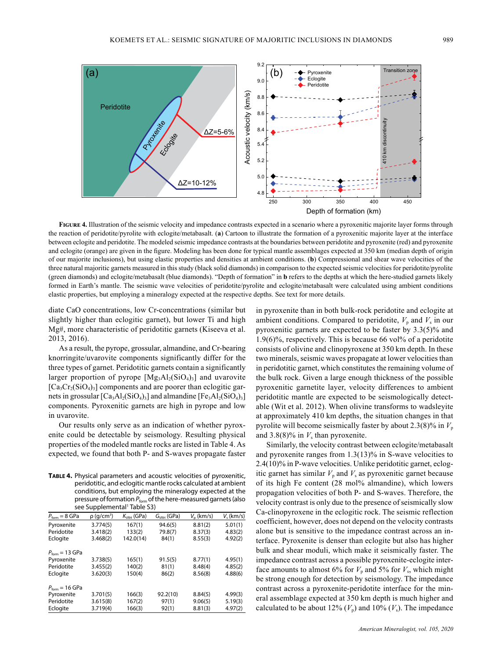

**Figure 4.** Illustration of the seismic velocity and impedance contrasts expected in a scenario where a pyroxenitic majorite layer forms through the reaction of peridotite/pyrolite with eclogite/metabasalt. (**a**) Cartoon to illustrate the formation of a pyroxenitic majorite layer at the interface between eclogite and peridotite. The modeled seismic impedance contrasts at the boundaries between peridotite and pyroxenite (red) and pyroxenite and eclogite (orange) are given in the figure. Modeling has been done for typical mantle assemblages expected at 350 km (median depth of origin of our majorite inclusions), but using elastic properties and densities at ambient conditions. (**b**) Compressional and shear wave velocities of the three natural majoritic garnets measured in this study (black solid diamonds) in comparison to the expected seismic velocities for peridotite/pyrolite (green diamonds) and eclogite/metabasalt (blue diamonds). "Depth of formation" in **b** refers to the depths at which the here-studied garnets likely formed in Earth's mantle. The seismic wave velocities of peridotite/pyrolite and eclogite/metabasalt were calculated using ambient conditions elastic properties, but employing a mineralogy expected at the respective depths. See text for more details.

diate CaO concentrations, low Cr-concentrations (similar but slightly higher than eclogitic garnet), but lower Ti and high Mg#, more characteristic of peridotitic garnets (Kiseeva et al. 2013, 2016).

As a result, the pyrope, grossular, almandine, and Cr-bearing knorringite/uvarovite components significantly differ for the three types of garnet. Peridotitic garnets contain a significantly larger proportion of pyrope  $[Mg_3Al_2(SiO_4)_3]$  and uvarovite  $[Ca_3Cr_2(SiO_4)_3]$  components and are poorer than eclogitic garnets in grossular  $[Ca_3A_2(SiO_4)_3]$  and almandine  $[Fe_3A_2(SiO_4)_3]$ components. Pyroxenitic garnets are high in pyrope and low in uvarovite.

Our results only serve as an indication of whether pyroxenite could be detectable by seismology. Resulting physical properties of the modeled mantle rocks are listed in Table 4. As expected, we found that both P- and S-waves propagate faster

**Table 4.** Physical parameters and acoustic velocities of pyroxenitic, peridotitic, and eclogitic mantle rocks calculated at ambient conditions, but employing the mineralogy expected at the pressure of formation  $P_{form}$  of the here-measured garnets (also see Supplemental<sup>1</sup> Table S3)

| $P_{\text{form}} = 8 \text{ GPa}$  | $\rho$ (g/cm <sup>3</sup> ) | $K_{VRH}$ (GPa) | $G_{VBH}$ (GPa) | $V_{\rm o}$ (km/s) | $V_{s}$ (km/s) |
|------------------------------------|-----------------------------|-----------------|-----------------|--------------------|----------------|
| Pyroxenite                         | 3.774(5)                    | 167(1)          | 94.6(5)         | 8.81(2)            | 5.01(1)        |
| Peridotite                         | 3.418(2)                    | 133(2)          | 79.8(7)         | 8.37(3)            | 4.83(2)        |
| Eclogite                           | 3.468(2)                    | 142.0(14)       | 84(1)           | 8.55(3)            | 4.92(2)        |
| $P_{\text{form}} = 13 \text{ GPa}$ |                             |                 |                 |                    |                |
| Pyroxenite                         | 3.738(5)                    | 165(1)          | 91.5(5)         | 8.77(1)            | 4.95(1)        |
| Peridotite                         | 3.455(2)                    | 140(2)          | 81(1)           | 8.48(4)            | 4.85(2)        |
| Eclogite                           | 3.620(3)                    | 150(4)          | 86(2)           | 8.56(8)            | 4.88(6)        |
| $P_{\text{form}} = 16 \text{ GPa}$ |                             |                 |                 |                    |                |
| Pyroxenite                         | 3.701(5)                    | 166(3)          | 92.2(10)        | 8.84(5)            | 4.99(3)        |
| Peridotite                         | 3.615(8)                    | 167(2)          | 97(1)           | 9.06(5)            | 5.19(3)        |
| Eclogite                           | 3.719(4)                    | 166(3)          | 92(1)           | 8.81(3)            | 4.97(2)        |

in pyroxenite than in both bulk-rock peridotite and eclogite at ambient conditions. Compared to peridotite,  $V_p$  and  $V_s$  in our pyroxenitic garnets are expected to be faster by 3.3(5)% and 1.9(6)%, respectively. This is because 66 vol% of a peridotite consists of olivine and clinopyroxene at 350 km depth. In these two minerals, seismic waves propagate at lower velocities than in peridotitic garnet, which constitutes the remaining volume of the bulk rock. Given a large enough thickness of the possible pyroxenitic garnetite layer, velocity differences to ambient peridotitic mantle are expected to be seismologically detectable (Wit et al. 2012). When olivine transforms to wadsleyite at approximately 410 km depths, the situation changes in that pyrolite will become seismically faster by about  $2.3(8)\%$  in  $V_p$ and  $3.8(8)\%$  in  $V_s$  than pyroxenite.

Similarly, the velocity contrast between eclogite/metabasalt and pyroxenite ranges from 1.3(13)% in S-wave velocities to 2.4(10)% in P-wave velocities. Unlike peridotitic garnet, eclogitic garnet has similar  $V_p$  and  $V_s$  as pyroxenitic garnet because of its high Fe content (28 mol% almandine), which lowers propagation velocities of both P- and S-waves. Therefore, the velocity contrast is only due to the presence of seismically slow Ca-clinopyroxene in the eclogitic rock. The seismic reflection coefficient, however, does not depend on the velocity contrasts alone but is sensitive to the impedance contrast across an interface. Pyroxenite is denser than eclogite but also has higher bulk and shear moduli, which make it seismically faster. The impedance contrast across a possible pyroxenite-eclogite interface amounts to almost 6% for  $V_p$  and 5% for  $V_s$ , which might be strong enough for detection by seismology. The impedance contrast across a pyroxenite-peridotite interface for the mineral assemblage expected at 350 km depth is much higher and calculated to be about 12%  $(V_p)$  and 10%  $(V_s)$ . The impedance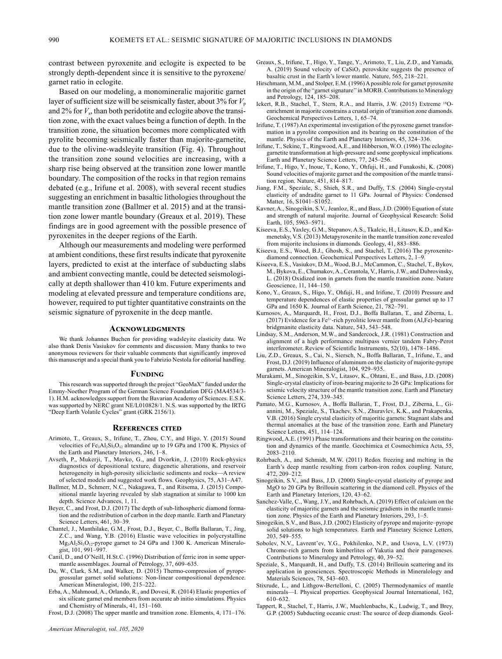contrast between pyroxenite and eclogite is expected to be strongly depth-dependent since it is sensitive to the pyroxene/ garnet ratio in eclogite.

Based on our modeling, a monomineralic majoritic garnet layer of sufficient size will be seismically faster, about  $3\%$  for  $V_p$ and 2% for *V*s, than both peridotite and eclogite above the transition zone, with the exact values being a function of depth. In the transition zone, the situation becomes more complicated with pyrolite becoming seismically faster than majorite-garnetite, due to the olivine-wadsleyite transition (Fig. 4). Throughout the transition zone sound velocities are increasing, with a sharp rise being observed at the transition zone lower mantle boundary. The composition of the rocks in that region remains debated (e.g., Irifune et al. 2008), with several recent studies suggesting an enrichment in basaltic lithologies throughout the mantle transition zone (Ballmer et al. 2015) and at the transition zone lower mantle boundary (Greaux et al. 2019). These findings are in good agreement with the possible presence of pyroxenites in the deeper regions of the Earth.

Although our measurements and modeling were performed at ambient conditions, these first results indicate that pyroxenite layers, predicted to exist at the interface of subducting slabs and ambient convecting mantle, could be detected seismologically at depth shallower than 410 km. Future experiments and modeling at elevated pressure and temperature conditions are, however, required to put tighter quantitative constraints on the seismic signature of pyroxenite in the deep mantle.

### **Acknowledgments**

We thank Johannes Buchen for providing wadsleyite elasticity data. We also thank Denis Vasiukov for comments and discussion. Many thanks to two anonymous reviewers for their valuable comments that significantly improved this manuscript and a special thank you to Fabrizio Nestola for editorial handling.

### **Funding**

This research was supported through the project "GeoMaX" funded under the Emmy-Noether Program of the German Science Foundation DFG (MA4534/3- 1). H.M. acknowledges support from the Bavarian Academy of Sciences. E.S.K. was supported by NERC grant NE/L010828/1. N.S. was supported by the IRTG "Deep Earth Volatile Cycles" grant (GRK 2156/1).

#### **References cited**

- Arimoto, T., Greaux, S., Irifune, T., Zhou, C.Y., and Higo, Y. (2015) Sound velocities of Fe<sub>3</sub>Al<sub>2</sub>Si<sub>3</sub>O<sub>12</sub> almandine up to 19 GPa and 1700 K. Physics of the Earth and Planetary Interiors, 246, 1–8.
- Avseth, P., Mukerji, T., Mavko, G., and Dvorkin, J. (2010) Rock-physics diagnostics of depositional texture, diagenetic alterations, and reservoir heterogeneity in high-porosity siliciclastic sediments and rocks—A review of selected models and suggested work flows. Geophysics, 75, A31–A47.
- Ballmer, M.D., Schmerr, N.C., Nakagawa, T., and Ritsema, J. (2015) Compositional mantle layering revealed by slab stagnation at similar to 1000 km depth. Science Advances, 1, 11.
- Beyer, C., and Frost, D.J. (2017) The depth of sub-lithospheric diamond formation and the redistribution of carbon in the deep mantle. Earth and Planetary Science Letters, 461, 30–39.
- Chantel, J., Manthilake, G.M., Frost, D.J., Beyer, C., Boffa Ballaran, T., Jing, Z.C., and Wang, Y.B. (2016) Elastic wave velocities in polycrystalline Mg3Al2Si3O12-pyrope garnet to 24 GPa and 1300 K. American Mineralogist, 101, 991–997.
- Canil, D., and O'Neill, H.St.C. (1996) Distribution of ferric iron in some uppermantle assemblages. Journal of Petrology, 37, 609–635.
- Du, W., Clark, S.M., and Walker, D. (2015) Thermo-compression of pyropegrossular garnet solid solutions: Non-linear compositional dependence. American Mineralogist, 100, 215–222.
- Erba, A., Mahmoud, A., Orlando, R., and Dovesi, R. (2014) Elastic properties of six silicate garnet end members from accurate ab initio simulations. Physics and Chemistry of Minerals, 41, 151–160.

Frost, D.J. (2008) The upper mantle and transition zone. Elements, 4, 171–176.

- 203, 549–555.
	- Contributions to Mineralogy and Petrology, 40, 39–52.
		- Speziale, S., Marquardt, H., and Duffy, T.S. (2014) Brillouin scattering and its Materials Sciences, 78, 543–603.
		- Stixrude, L., and Lithgow-Bertelloni, C. (2005) Thermodynamics of mantle minerals—I. Physical properties. Geophysical Journal International, 162, 610–632.
		- Tappert, R., Stachel, T., Harris, J.W., Muehlenbachs, K., Ludwig, T., and Brey, G.P. (2005) Subducting oceanic crust: The source of deep diamonds. Geol-
- Greaux, S., Irifune, T., Higo, Y., Tange, Y., Arimoto, T., Liu, Z.D., and Yamada, A. (2019) Sound velocity of CaSiO<sub>3</sub> perovskite suggests the presence of basaltic crust in the Earth's lower mantle. Nature, 565, 218–221.
- Hirschmann, M.M., and Stolper, E.M. (1996) A possible role for garnet pyroxenite in the origin of the "garnet signature'' in MORB. Contributions to Mineralogy
- and Petrology, 124, 185–208. Ickert, R.B., Stachel, T., Stern, R.A., and Harris, J.W. (2015) Extreme 18Oenrichment in majorite constrains a crustal origin of transition zone diamonds. Geochemical Perspectives Letters, 1, 65–74.
- Irifune, T. (1987) An experimental investigation of the pyroxene garnet transformation in a pyrolite composition and its bearing on the constitution of the mantle. Physics of the Earth and Planetary Interiors, 45, 324–336.
- Irifune, T., Sekine, T., Ringwood, A.E., and Hibberson, W.O. (1986) The eclogitegarnetite transformation at high-pressure and some geophysical implications. Earth and Planetary Science Letters, 77, 245–256.
- Irifune, T., Higo, Y., Inoue, T., Kono, Y., Ohfuji, H., and Funakoshi, K. (2008) Sound velocities of majorite garnet and the composition of the mantle transition region. Nature, 451, 814–817.
- Jiang, F.M., Speziale, S., Shieh, S.R., and Duffy, T.S. (2004) Single-crystal elasticity of andradite garnet to 11 GPa. Journal of Physics: Condensed Matter, 16, S1041–S1052.
- Kavner, A., Sinogeikin, S.V., Jeanloz, R., and Bass, J.D. (2000) Equation of state and strength of natural majorite. Journal of Geophysical Research: Solid Earth, 105, 5963–5971.
- Kiseeva, E.S., Yaxley, G.M., Stepanov, A.S., Tkalcic, H., Litasov, K.D., and Kamenetsky, V.S. (2013) Metapyroxenite in the mantle transition zone revealed from majorite inclusions in diamonds. Geology, 41, 883–886.
- Kiseeva, E.S., Wood, B.J., Ghosh, S., and Stachel, T. (2016) The pyroxenitediamond connection. Geochemical Perspectives Letters, 2, 1–9.
- Kiseeva, E.S., Vasiukov, D.M., Wood, B.J., McCammon, C., Stachel, T., Bykov, M., Bykova, E., Chumakov, A., Cerantola, V., Harris, J.W., and Dubrovinsky, L. (2018) Oxidized iron in garnets from the mantle transition zone. Nature Geoscience, 11, 144–150.
- Kono, Y., Greaux, S., Higo, Y., Ohfuji, H., and Irifune, T. (2010) Pressure and temperature dependences of elastic properties of grossular garnet up to 17 GPa and 1650 K. Journal of Earth Science, 21, 782–791.
- Kurnosov, A., Marquardt, H., Frost, D.J., Boffa Ballaran, T., and Ziberna, L. (2017) Evidence for a Fe3+-rich pyrolitic lower mantle from (Al,Fe)-bearing bridgmanite elasticity data. Nature, 543, 543–548.
- Lindsay, S.M., Anderson, M.W., and Sandercock, J.R. (1981) Construction and alignment of a high performance multipass vernier tandem Fabry-Perot interferometer. Review of Scientific Instruments, 52(10), 1478–1486.
- Liu, Z.D., Greaux, S., Cai, N., Siersch, N., Boffa Ballaran, T., Irifune, T., and Frost, D.J. (2019) Influence of aluminum on the elasticity of majorite-pyrope garnets. American Mineralogist, 104, 929–935.
- Murakami, M., Sinogeikin, S.V., Litasov, K., Ohtani, E., and Bass, J.D. (2008) Single-crystal elasticity of iron-bearing majorite to 26 GPa: Implications for seismic velocity structure of the mantle transition zone. Earth and Planetary Science Letters, 274, 339–345.
- Pamato, M.G., Kurnosov, A., Boffa Ballaran, T., Frost, D.J., Ziberna, L., Giannini, M., Speziale, S., Tkachev, S.N., Zhuravlev, K.K., and Prakapenka, V.B. (2016) Single crystal elasticity of majoritic garnets: Stagnant slabs and thermal anomalies at the base of the transition zone. Earth and Planetary Science Letters, 451, 114–124.
- Ringwood, A.E. (1991) Phase transformations and their bearing on the constitution and dynamics of the mantle. Geochimica et Cosmochimica Acta, 55, 2083–2110.
- Rohrbach, A., and Schmidt, M.W. (2011) Redox freezing and melting in the Earth's deep mantle resulting from carbon-iron redox coupling. Nature, 472, 209–212.
- Sinogeikin, S.V., and Bass, J.D. (2000) Single-crystal elasticity of pyrope and MgO to 20 GPa by Brillouin scattering in the diamond cell. Physics of the Earth and Planetary Interiors, 120, 43–62.
- Sanchez-Valle, C., Wang, J.Y., and Rohrbach, A. (2019) Effect of calcium on the elasticity of majoritic garnets and the seismic gradients in the mantle transition zone. Physics of the Earth and Planetary Interiors, 293, 1–5.
- Sinogeikin, S.V., and Bass, J.D. (2002) Elasticity of pyrope and majorite–pyrope solid solutions to high temperatures. Earth and Planetary Science Letters,
- Sobolev, N.V., Lavrent'ev, Y.G., Pokhilenko, N.P., and Usova, L.V. (1973) Chrome-rich garnets from kimberlites of Yakutia and their parageneses.
- application in geosciences. Spectroscopic Methods in Mineralology and